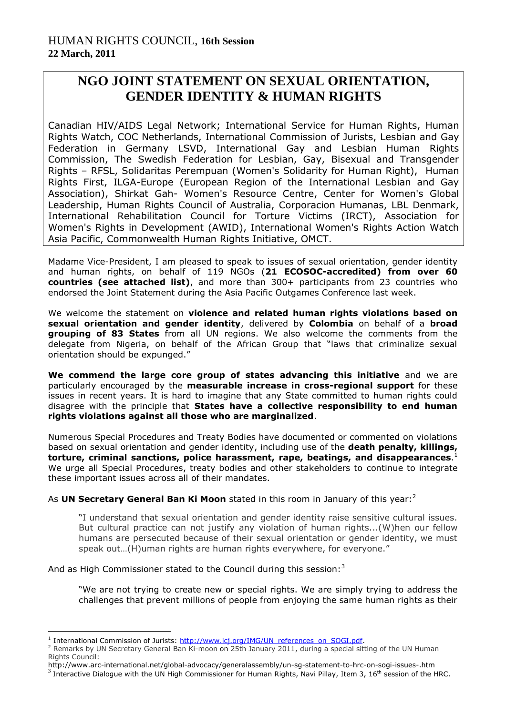## **NGO JOINT STATEMENT ON SEXUAL ORIENTATION, GENDER IDENTITY & HUMAN RIGHTS**

Canadian HIV/AIDS Legal Network; International Service for Human Rights, Human Rights Watch, COC Netherlands, International Commission of Jurists, Lesbian and Gay Federation in Germany LSVD, International Gay and Lesbian Human Rights Commission, The Swedish Federation for Lesbian, Gay, Bisexual and Transgender Rights – RFSL, Solidaritas Perempuan (Women's Solidarity for Human Right), Human Rights First, ILGA-Europe (European Region of the International Lesbian and Gay Association), Shirkat Gah- Women's Resource Centre, Center for Women's Global Leadership, Human Rights Council of Australia, Corporacion Humanas, LBL Denmark, International Rehabilitation Council for Torture Victims (IRCT), Association for Women's Rights in Development (AWID), International Women's Rights Action Watch Asia Pacific, Commonwealth Human Rights Initiative, OMCT.

Madame Vice-President, I am pleased to speak to issues of sexual orientation, gender identity and human rights, on behalf of 119 NGOs (**21 ECOSOC-accredited) from over 60 countries (see attached list)**, and more than 300+ participants from 23 countries who endorsed the Joint Statement during the Asia Pacific Outgames Conference last week.

We welcome the statement on **violence and related human rights violations based on sexual orientation and gender identity**, delivered by **Colombia** on behalf of a **broad grouping of 83 States** from all UN regions. We also welcome the comments from the delegate from Nigeria, on behalf of the African Group that "laws that criminalize sexual orientation should be expunged."

**We commend the large core group of states advancing this initiative** and we are particularly encouraged by the **measurable increase in cross-regional support** for these issues in recent years. It is hard to imagine that any State committed to human rights could disagree with the principle that **States have a collective responsibility to end human rights violations against all those who are marginalized**.

Numerous Special Procedures and Treaty Bodies have documented or commented on violations based on sexual orientation and gender identity, including use of the **death penalty, killings, torture, criminal sanctions, police harassment, rape, beatings, and disappearances**. 1 We urge all Special Procedures, treaty bodies and other stakeholders to continue to integrate these important issues across all of their mandates.

As **UN Secretary General Ban Ki Moon** stated in this room in January of this year:<sup>2</sup>

"I understand that sexual orientation and gender identity raise sensitive cultural issues. But cultural practice can not justify any violation of human rights...(W)hen our fellow humans are persecuted because of their sexual orientation or gender identity, we must speak out…(H)uman rights are human rights everywhere, for everyone."

And as High Commissioner stated to the Council during this session: $3$ 

"We are not trying to create new or special rights. We are simply trying to address the challenges that prevent millions of people from enjoying the same human rights as their

1

<sup>&</sup>lt;sup>1</sup> International Commission of Jurists: [http://www.icj.org/IMG/UN\\_references\\_on\\_SOGI.pdf.](http://www.icj.org/IMG/UN_references_on_SOGI.pdf)

<sup>&</sup>lt;sup>2</sup> Remarks by UN Secretary General Ban Ki-moon on 25th January 2011, during a special sitting of the UN Human Rights Council:

http://www.arc-international.net/global-advocacy/generalassembly/un-sg-statement-to-hrc-on-sogi-issues-.htm

 $3 \text{ Integrate}$  Dialogue with the UN High Commissioner for Human Rights, Navi Pillay, Item 3, 16<sup>th</sup> session of the HRC.